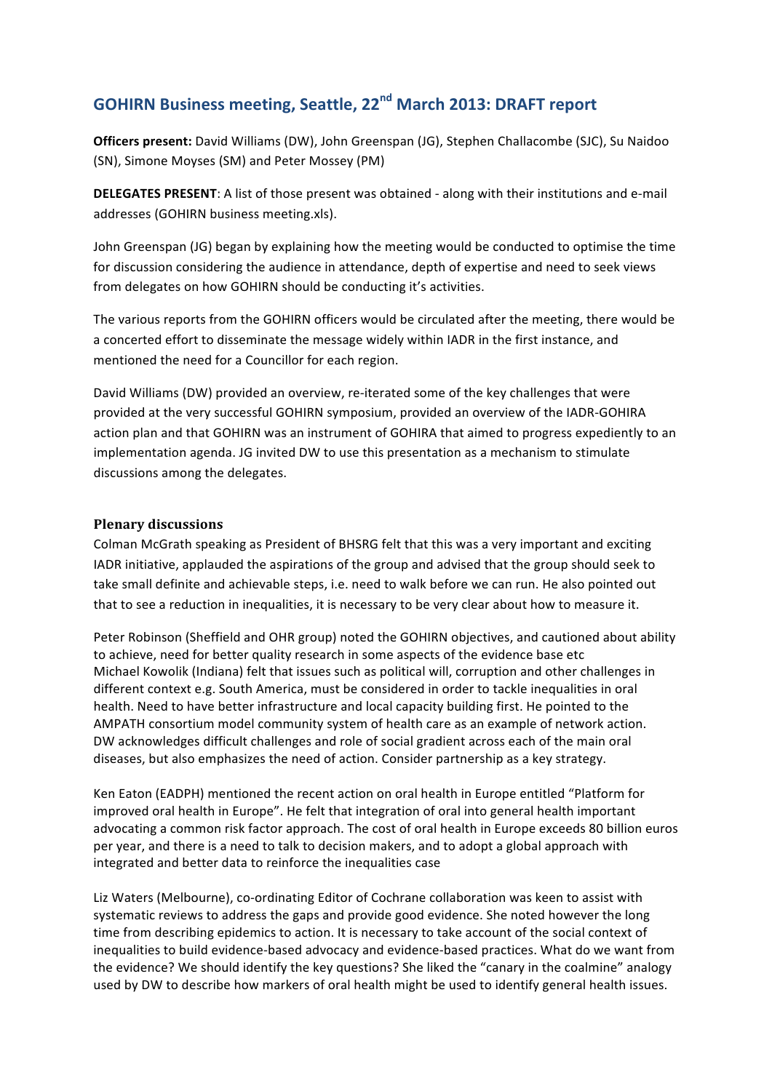# **GOHIRN Business meeting, Seattle, 22<sup>nd</sup> March 2013: DRAFT report**

**Officers present:** David Williams (DW), John Greenspan (JG), Stephen Challacombe (SJC), Su Naidoo (SN), Simone Moyses (SM) and Peter Mossey (PM)

**DELEGATES PRESENT:** A list of those present was obtained - along with their institutions and e-mail addresses (GOHIRN business meeting.xls).

John Greenspan (JG) began by explaining how the meeting would be conducted to optimise the time for discussion considering the audience in attendance, depth of expertise and need to seek views from delegates on how GOHIRN should be conducting it's activities.

The various reports from the GOHIRN officers would be circulated after the meeting, there would be a concerted effort to disseminate the message widely within IADR in the first instance, and mentioned the need for a Councillor for each region.

David Williams (DW) provided an overview, re-iterated some of the key challenges that were provided at the very successful GOHIRN symposium, provided an overview of the IADR-GOHIRA action plan and that GOHIRN was an instrument of GOHIRA that aimed to progress expediently to an implementation agenda. JG invited DW to use this presentation as a mechanism to stimulate discussions among the delegates.

## **Plenary discussions**

Colman McGrath speaking as President of BHSRG felt that this was a very important and exciting IADR initiative, applauded the aspirations of the group and advised that the group should seek to take small definite and achievable steps, i.e. need to walk before we can run. He also pointed out that to see a reduction in inequalities, it is necessary to be very clear about how to measure it.

Peter Robinson (Sheffield and OHR group) noted the GOHIRN objectives, and cautioned about ability to achieve, need for better quality research in some aspects of the evidence base etc Michael Kowolik (Indiana) felt that issues such as political will, corruption and other challenges in different context e.g. South America, must be considered in order to tackle inequalities in oral health. Need to have better infrastructure and local capacity building first. He pointed to the AMPATH consortium model community system of health care as an example of network action. DW acknowledges difficult challenges and role of social gradient across each of the main oral diseases, but also emphasizes the need of action. Consider partnership as a key strategy.

Ken Eaton (EADPH) mentioned the recent action on oral health in Europe entitled "Platform for improved oral health in Europe". He felt that integration of oral into general health important advocating a common risk factor approach. The cost of oral health in Europe exceeds 80 billion euros per year, and there is a need to talk to decision makers, and to adopt a global approach with integrated and better data to reinforce the inequalities case

Liz Waters (Melbourne), co-ordinating Editor of Cochrane collaboration was keen to assist with systematic reviews to address the gaps and provide good evidence. She noted however the long time from describing epidemics to action. It is necessary to take account of the social context of inequalities to build evidence-based advocacy and evidence-based practices. What do we want from the evidence? We should identify the key questions? She liked the "canary in the coalmine" analogy used by DW to describe how markers of oral health might be used to identify general health issues.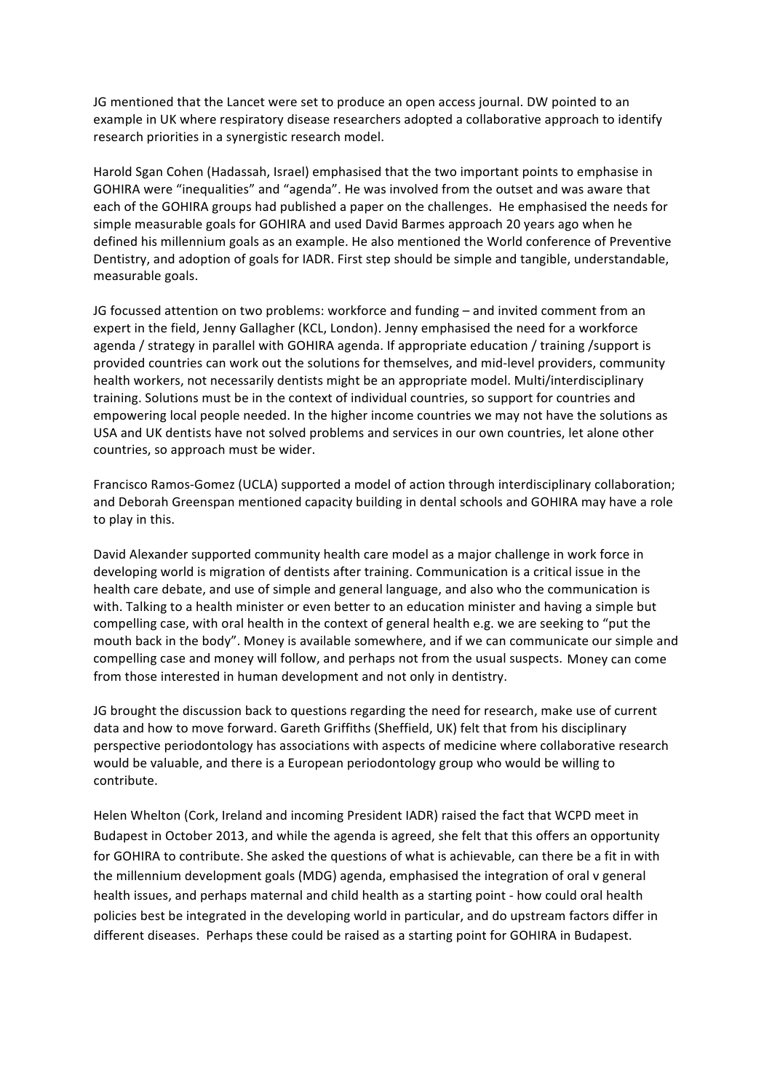JG mentioned that the Lancet were set to produce an open access journal. DW pointed to an example in UK where respiratory disease researchers adopted a collaborative approach to identify research priorities in a synergistic research model.

Harold Sgan Cohen (Hadassah, Israel) emphasised that the two important points to emphasise in GOHIRA were "inequalities" and "agenda". He was involved from the outset and was aware that each of the GOHIRA groups had published a paper on the challenges. He emphasised the needs for simple measurable goals for GOHIRA and used David Barmes approach 20 years ago when he defined his millennium goals as an example. He also mentioned the World conference of Preventive Dentistry, and adoption of goals for IADR. First step should be simple and tangible, understandable, measurable goals.

JG focussed attention on two problems: workforce and funding – and invited comment from an expert in the field, Jenny Gallagher (KCL, London). Jenny emphasised the need for a workforce agenda / strategy in parallel with GOHIRA agenda. If appropriate education / training / support is provided countries can work out the solutions for themselves, and mid-level providers, community health workers, not necessarily dentists might be an appropriate model. Multi/interdisciplinary training. Solutions must be in the context of individual countries, so support for countries and empowering local people needed. In the higher income countries we may not have the solutions as USA and UK dentists have not solved problems and services in our own countries, let alone other countries, so approach must be wider.

Francisco Ramos-Gomez (UCLA) supported a model of action through interdisciplinary collaboration; and Deborah Greenspan mentioned capacity building in dental schools and GOHIRA may have a role to play in this.

David Alexander supported community health care model as a major challenge in work force in developing world is migration of dentists after training. Communication is a critical issue in the health care debate, and use of simple and general language, and also who the communication is with. Talking to a health minister or even better to an education minister and having a simple but compelling case, with oral health in the context of general health e.g. we are seeking to "put the mouth back in the body". Money is available somewhere, and if we can communicate our simple and compelling case and money will follow, and perhaps not from the usual suspects. Money can come from those interested in human development and not only in dentistry.

JG brought the discussion back to questions regarding the need for research, make use of current data and how to move forward. Gareth Griffiths (Sheffield, UK) felt that from his disciplinary perspective periodontology has associations with aspects of medicine where collaborative research would be valuable, and there is a European periodontology group who would be willing to contribute. 

Helen Whelton (Cork, Ireland and incoming President IADR) raised the fact that WCPD meet in Budapest in October 2013, and while the agenda is agreed, she felt that this offers an opportunity for GOHIRA to contribute. She asked the questions of what is achievable, can there be a fit in with the millennium development goals (MDG) agenda, emphasised the integration of oral v general health issues, and perhaps maternal and child health as a starting point - how could oral health policies best be integrated in the developing world in particular, and do upstream factors differ in different diseases. Perhaps these could be raised as a starting point for GOHIRA in Budapest.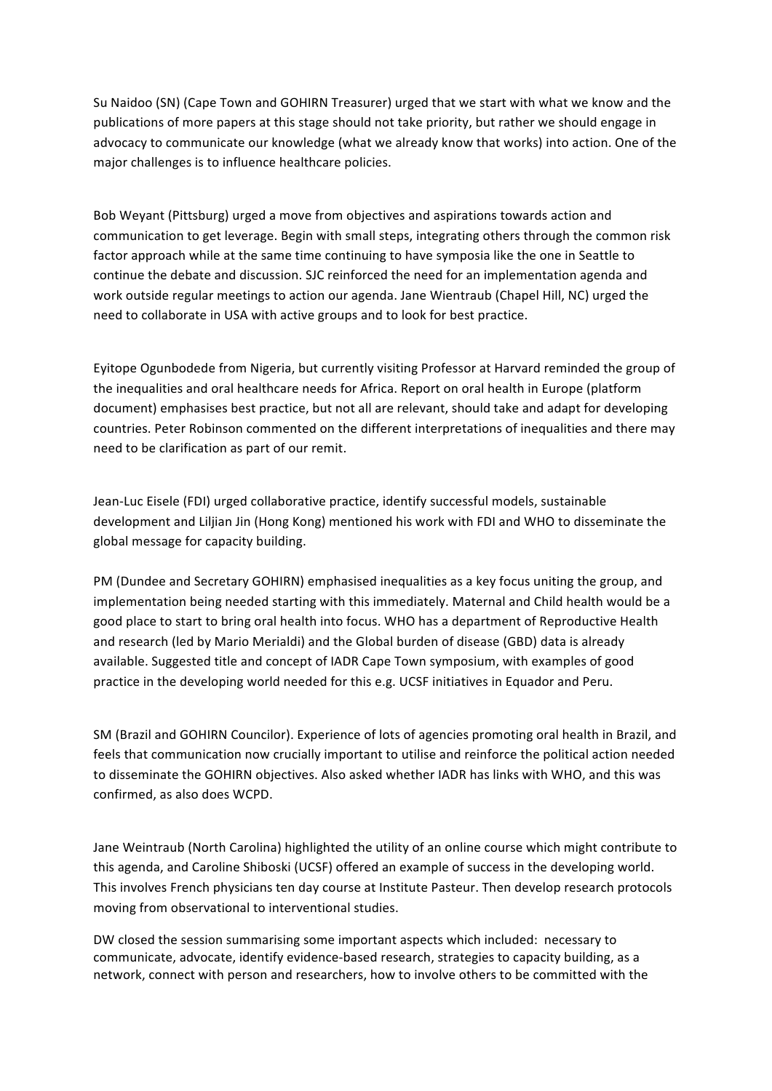Su Naidoo (SN) (Cape Town and GOHIRN Treasurer) urged that we start with what we know and the publications of more papers at this stage should not take priority, but rather we should engage in advocacy to communicate our knowledge (what we already know that works) into action. One of the major challenges is to influence healthcare policies.

Bob Weyant (Pittsburg) urged a move from objectives and aspirations towards action and communication to get leverage. Begin with small steps, integrating others through the common risk factor approach while at the same time continuing to have symposia like the one in Seattle to continue the debate and discussion. SJC reinforced the need for an implementation agenda and work outside regular meetings to action our agenda. Jane Wientraub (Chapel Hill, NC) urged the need to collaborate in USA with active groups and to look for best practice.

Eyitope Ogunbodede from Nigeria, but currently visiting Professor at Harvard reminded the group of the inequalities and oral healthcare needs for Africa. Report on oral health in Europe (platform document) emphasises best practice, but not all are relevant, should take and adapt for developing countries. Peter Robinson commented on the different interpretations of inequalities and there may need to be clarification as part of our remit.

Jean-Luc Eisele (FDI) urged collaborative practice, identify successful models, sustainable development and Liljian Jin (Hong Kong) mentioned his work with FDI and WHO to disseminate the global message for capacity building.

PM (Dundee and Secretary GOHIRN) emphasised inequalities as a key focus uniting the group, and implementation being needed starting with this immediately. Maternal and Child health would be a good place to start to bring oral health into focus. WHO has a department of Reproductive Health and research (led by Mario Merialdi) and the Global burden of disease (GBD) data is already available. Suggested title and concept of IADR Cape Town symposium, with examples of good practice in the developing world needed for this e.g. UCSF initiatives in Equador and Peru.

SM (Brazil and GOHIRN Councilor). Experience of lots of agencies promoting oral health in Brazil, and feels that communication now crucially important to utilise and reinforce the political action needed to disseminate the GOHIRN objectives. Also asked whether IADR has links with WHO, and this was confirmed, as also does WCPD.

Jane Weintraub (North Carolina) highlighted the utility of an online course which might contribute to this agenda, and Caroline Shiboski (UCSF) offered an example of success in the developing world. This involves French physicians ten day course at Institute Pasteur. Then develop research protocols moving from observational to interventional studies.

DW closed the session summarising some important aspects which included: necessary to communicate, advocate, identify evidence-based research, strategies to capacity building, as a network, connect with person and researchers, how to involve others to be committed with the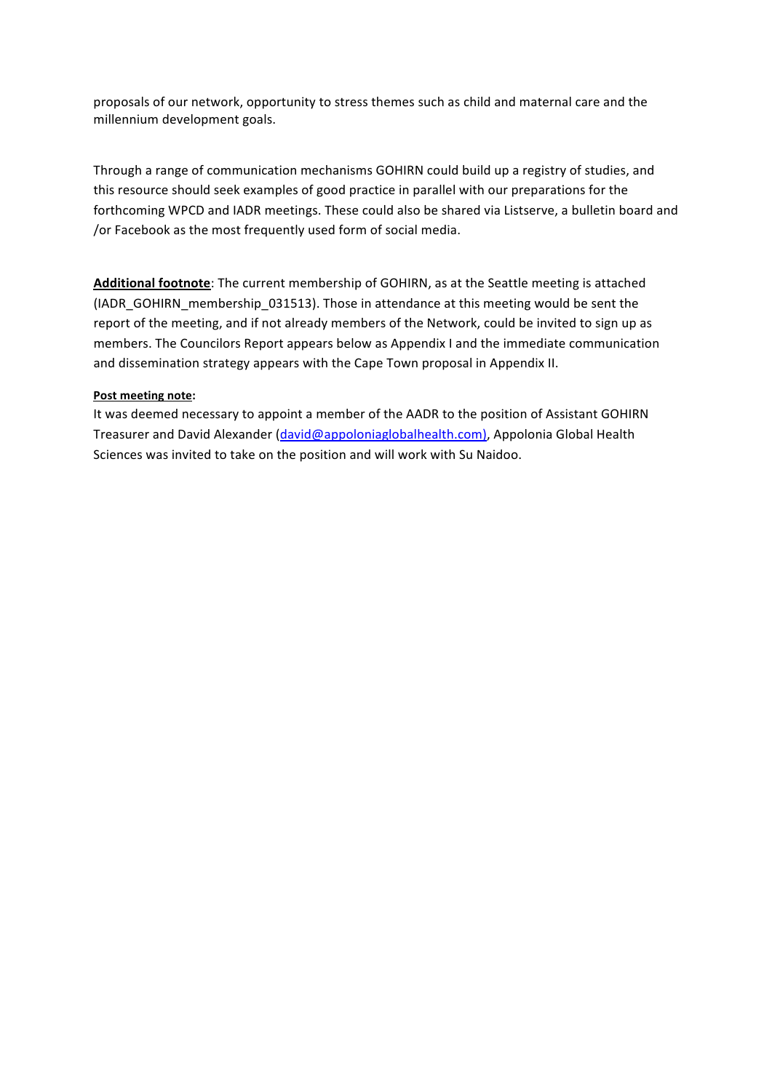proposals of our network, opportunity to stress themes such as child and maternal care and the millennium development goals.

Through a range of communication mechanisms GOHIRN could build up a registry of studies, and this resource should seek examples of good practice in parallel with our preparations for the forthcoming WPCD and IADR meetings. These could also be shared via Listserve, a bulletin board and /or Facebook as the most frequently used form of social media.

Additional footnote: The current membership of GOHIRN, as at the Seattle meeting is attached (IADR GOHIRN membership 031513). Those in attendance at this meeting would be sent the report of the meeting, and if not already members of the Network, could be invited to sign up as members. The Councilors Report appears below as Appendix I and the immediate communication and dissemination strategy appears with the Cape Town proposal in Appendix II.

## **Post meeting note:**

It was deemed necessary to appoint a member of the AADR to the position of Assistant GOHIRN Treasurer and David Alexander (david@appoloniaglobalhealth.com), Appolonia Global Health Sciences was invited to take on the position and will work with Su Naidoo.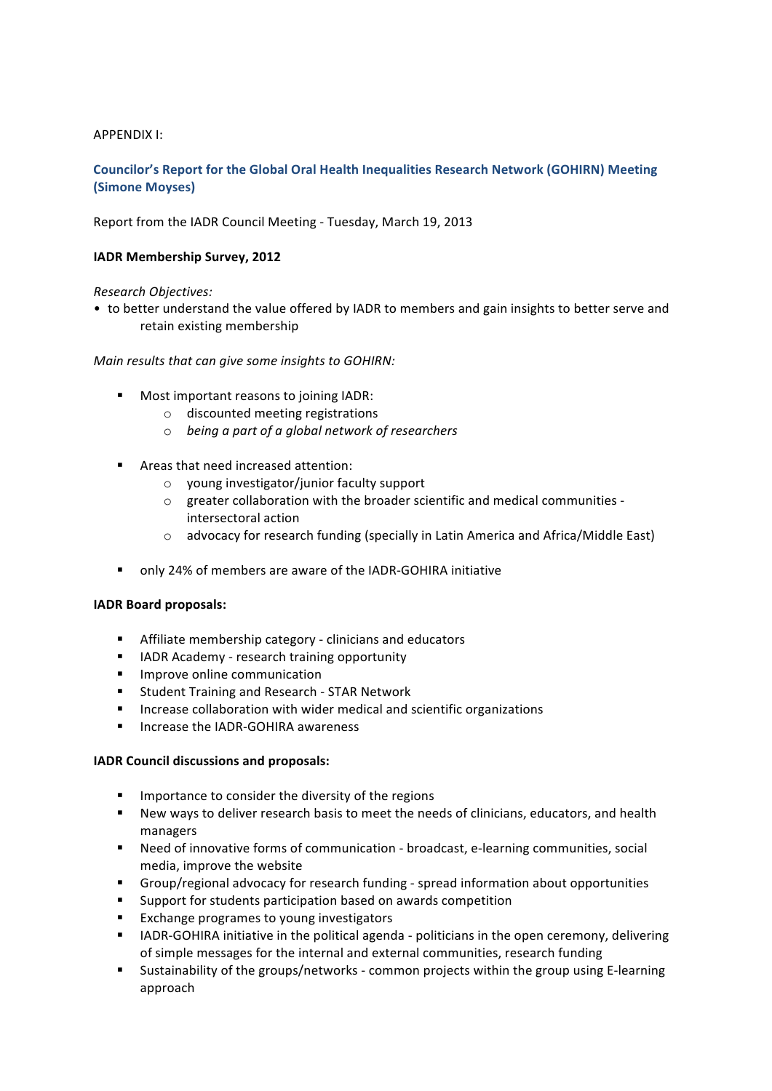## **APPENDIX I:**

## Councilor's Report for the Global Oral Health Inequalities Research Network (GOHIRN) Meeting **(Simone Moyses)**

Report from the IADR Council Meeting - Tuesday, March 19, 2013

## **IADR Membership Survey, 2012**

*Research 
 Objectives:*

• to better understand the value offered by IADR to members and gain insights to better serve and retain existing membership

Main results that can give some insights to GOHIRN:

- $\blacksquare$  Most important reasons to joining IADR:
	- o discounted meeting registrations
	- o being a part of a global network of researchers
- $\blacksquare$  Areas that need increased attention:
	- $\circ$  voung investigator/junior faculty support
	- o greater collaboration with the broader scientific and medical communities intersectoral action
	- o advocacy for research funding (specially in Latin America and Africa/Middle East)
- only 24% of members are aware of the IADR-GOHIRA initiative

## **IADR Board proposals:**

- Affiliate membership category clinicians and educators
- **EXECTADR** Academy research training opportunity
- **Improve online communication**
- Student Training and Research STAR Network
- **Increase collaboration with wider medical and scientific organizations**
- Increase the IADR-GOHIRA awareness

## **IADR Council discussions and proposals:**

- $\blacksquare$  Importance to consider the diversity of the regions
- " New ways to deliver research basis to meet the needs of clinicians, educators, and health managers
- Need of innovative forms of communication broadcast, e-learning communities, social media, improve the website
- **EXECUTE:** Group/regional advocacy for research funding spread information about opportunities
- Support for students participation based on awards competition
- Exchange programes to young investigators
- IADR-GOHIRA initiative in the political agenda politicians in the open ceremony, delivering of simple messages for the internal and external communities, research funding
- Sustainability of the groups/networks common projects within the group using E-learning approach